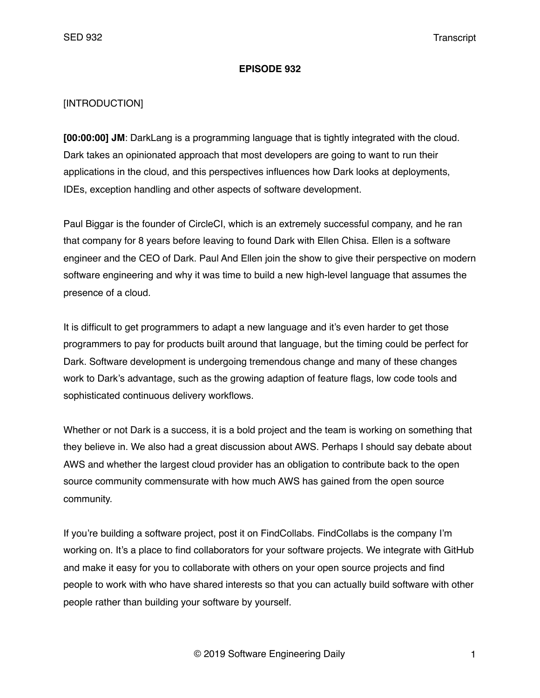#### **EPISODE 932**

### [INTRODUCTION]

**[00:00:00] JM**: DarkLang is a programming language that is tightly integrated with the cloud. Dark takes an opinionated approach that most developers are going to want to run their applications in the cloud, and this perspectives influences how Dark looks at deployments, IDEs, exception handling and other aspects of software development.

Paul Biggar is the founder of CircleCI, which is an extremely successful company, and he ran that company for 8 years before leaving to found Dark with Ellen Chisa. Ellen is a software engineer and the CEO of Dark. Paul And Ellen join the show to give their perspective on modern software engineering and why it was time to build a new high-level language that assumes the presence of a cloud.

It is difficult to get programmers to adapt a new language and it's even harder to get those programmers to pay for products built around that language, but the timing could be perfect for Dark. Software development is undergoing tremendous change and many of these changes work to Dark's advantage, such as the growing adaption of feature flags, low code tools and sophisticated continuous delivery workflows.

Whether or not Dark is a success, it is a bold project and the team is working on something that they believe in. We also had a great discussion about AWS. Perhaps I should say debate about AWS and whether the largest cloud provider has an obligation to contribute back to the open source community commensurate with how much AWS has gained from the open source community.

If you're building a software project, post it on FindCollabs. FindCollabs is the company I'm working on. It's a place to find collaborators for your software projects. We integrate with GitHub and make it easy for you to collaborate with others on your open source projects and find people to work with who have shared interests so that you can actually build software with other people rather than building your software by yourself.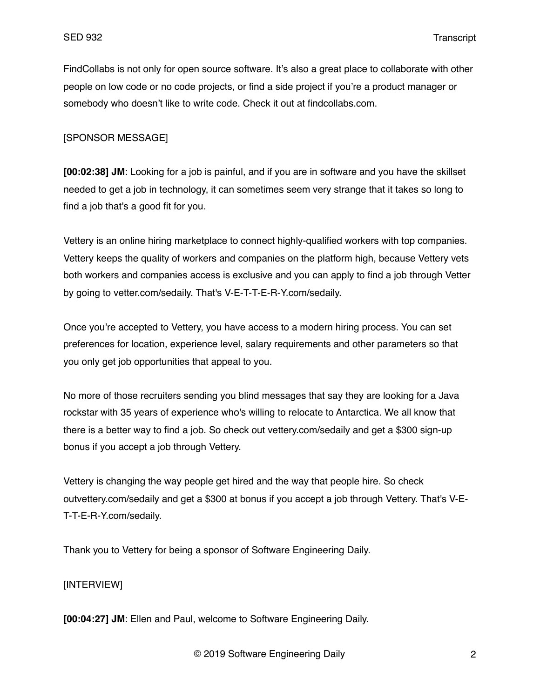FindCollabs is not only for open source software. It's also a great place to collaborate with other people on low code or no code projects, or find a side project if you're a product manager or somebody who doesn't like to write code. Check it out at findcollabs.com.

#### [SPONSOR MESSAGE]

**[00:02:38] JM**: Looking for a job is painful, and if you are in software and you have the skillset needed to get a job in technology, it can sometimes seem very strange that it takes so long to find a job that's a good fit for you.

Vettery is an online hiring marketplace to connect highly-qualified workers with top companies. Vettery keeps the quality of workers and companies on the platform high, because Vettery vets both workers and companies access is exclusive and you can apply to find a job through Vetter by going to vetter.com/sedaily. That's V-E-T-T-E-R-Y.com/sedaily.

Once you're accepted to Vettery, you have access to a modern hiring process. You can set preferences for location, experience level, salary requirements and other parameters so that you only get job opportunities that appeal to you.

No more of those recruiters sending you blind messages that say they are looking for a Java rockstar with 35 years of experience who's willing to relocate to Antarctica. We all know that there is a better way to find a job. So check out vettery.com/sedaily and get a \$300 sign-up bonus if you accept a job through Vettery.

Vettery is changing the way people get hired and the way that people hire. So check outvettery.com/sedaily and get a \$300 at bonus if you accept a job through Vettery. That's V-E-T-T-E-R-Y.com/sedaily.

Thank you to Vettery for being a sponsor of Software Engineering Daily.

### [INTERVIEW]

**[00:04:27] JM**: Ellen and Paul, welcome to Software Engineering Daily.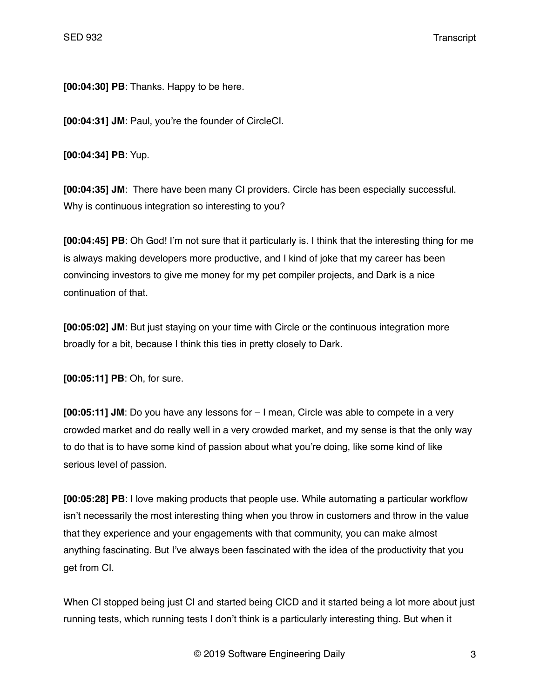**[00:04:30] PB**: Thanks. Happy to be here.

**[00:04:31] JM**: Paul, you're the founder of CircleCI.

**[00:04:34] PB**: Yup.

**[00:04:35] JM**: There have been many CI providers. Circle has been especially successful. Why is continuous integration so interesting to you?

**[00:04:45] PB**: Oh God! I'm not sure that it particularly is. I think that the interesting thing for me is always making developers more productive, and I kind of joke that my career has been convincing investors to give me money for my pet compiler projects, and Dark is a nice continuation of that.

**[00:05:02] JM**: But just staying on your time with Circle or the continuous integration more broadly for a bit, because I think this ties in pretty closely to Dark.

**[00:05:11] PB**: Oh, for sure.

**[00:05:11] JM**: Do you have any lessons for – I mean, Circle was able to compete in a very crowded market and do really well in a very crowded market, and my sense is that the only way to do that is to have some kind of passion about what you're doing, like some kind of like serious level of passion.

**[00:05:28] PB**: I love making products that people use. While automating a particular workflow isn't necessarily the most interesting thing when you throw in customers and throw in the value that they experience and your engagements with that community, you can make almost anything fascinating. But I've always been fascinated with the idea of the productivity that you get from CI.

When CI stopped being just CI and started being CICD and it started being a lot more about just running tests, which running tests I don't think is a particularly interesting thing. But when it

© 2019 Software Engineering Daily 3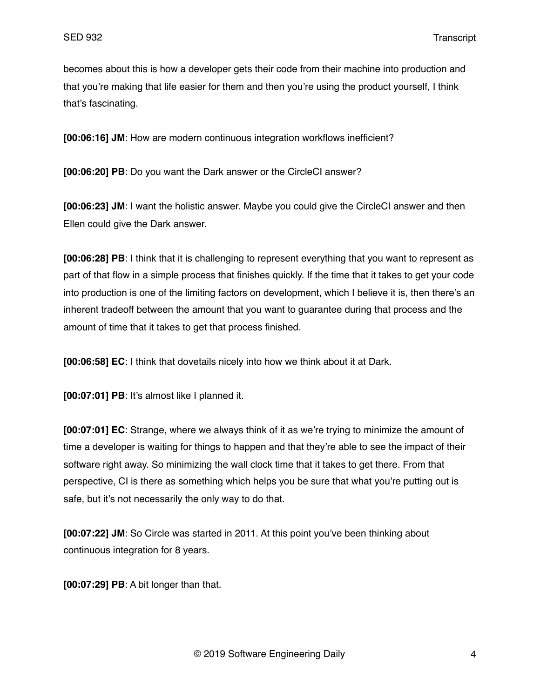becomes about this is how a developer gets their code from their machine into production and that you're making that life easier for them and then you're using the product yourself, I think that's fascinating.

**[00:06:16] JM**: How are modern continuous integration workflows inefficient?

**[00:06:20] PB**: Do you want the Dark answer or the CircleCI answer?

**[00:06:23] JM**: I want the holistic answer. Maybe you could give the CircleCI answer and then Ellen could give the Dark answer.

**[00:06:28] PB**: I think that it is challenging to represent everything that you want to represent as part of that flow in a simple process that finishes quickly. If the time that it takes to get your code into production is one of the limiting factors on development, which I believe it is, then there's an inherent tradeoff between the amount that you want to guarantee during that process and the amount of time that it takes to get that process finished.

**[00:06:58] EC**: I think that dovetails nicely into how we think about it at Dark.

**[00:07:01] PB**: It's almost like I planned it.

**[00:07:01] EC**: Strange, where we always think of it as we're trying to minimize the amount of time a developer is waiting for things to happen and that they're able to see the impact of their software right away. So minimizing the wall clock time that it takes to get there. From that perspective, CI is there as something which helps you be sure that what you're putting out is safe, but it's not necessarily the only way to do that.

**[00:07:22] JM**: So Circle was started in 2011. At this point you've been thinking about continuous integration for 8 years.

**[00:07:29] PB**: A bit longer than that.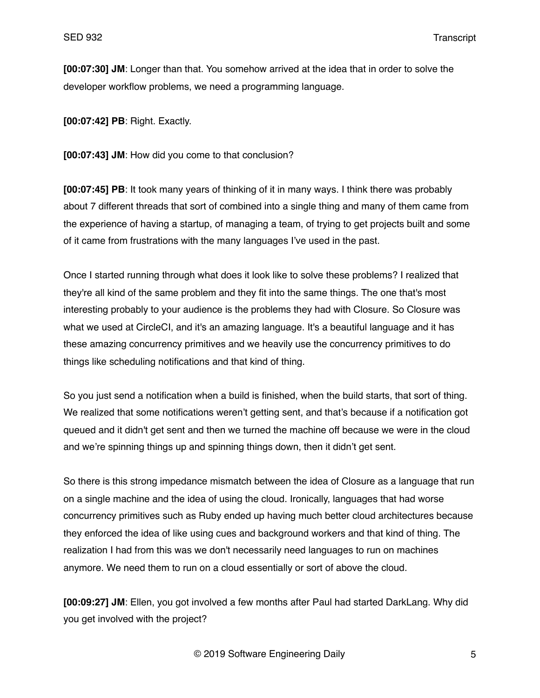**[00:07:30] JM**: Longer than that. You somehow arrived at the idea that in order to solve the developer workflow problems, we need a programming language.

**[00:07:42] PB**: Right. Exactly.

**[00:07:43] JM**: How did you come to that conclusion?

**[00:07:45] PB**: It took many years of thinking of it in many ways. I think there was probably about 7 different threads that sort of combined into a single thing and many of them came from the experience of having a startup, of managing a team, of trying to get projects built and some of it came from frustrations with the many languages I've used in the past.

Once I started running through what does it look like to solve these problems? I realized that they're all kind of the same problem and they fit into the same things. The one that's most interesting probably to your audience is the problems they had with Closure. So Closure was what we used at CircleCI, and it's an amazing language. It's a beautiful language and it has these amazing concurrency primitives and we heavily use the concurrency primitives to do things like scheduling notifications and that kind of thing.

So you just send a notification when a build is finished, when the build starts, that sort of thing. We realized that some notifications weren't getting sent, and that's because if a notification got queued and it didn't get sent and then we turned the machine off because we were in the cloud and we're spinning things up and spinning things down, then it didn't get sent.

So there is this strong impedance mismatch between the idea of Closure as a language that run on a single machine and the idea of using the cloud. Ironically, languages that had worse concurrency primitives such as Ruby ended up having much better cloud architectures because they enforced the idea of like using cues and background workers and that kind of thing. The realization I had from this was we don't necessarily need languages to run on machines anymore. We need them to run on a cloud essentially or sort of above the cloud.

**[00:09:27] JM**: Ellen, you got involved a few months after Paul had started DarkLang. Why did you get involved with the project?

© 2019 Software Engineering Daily 5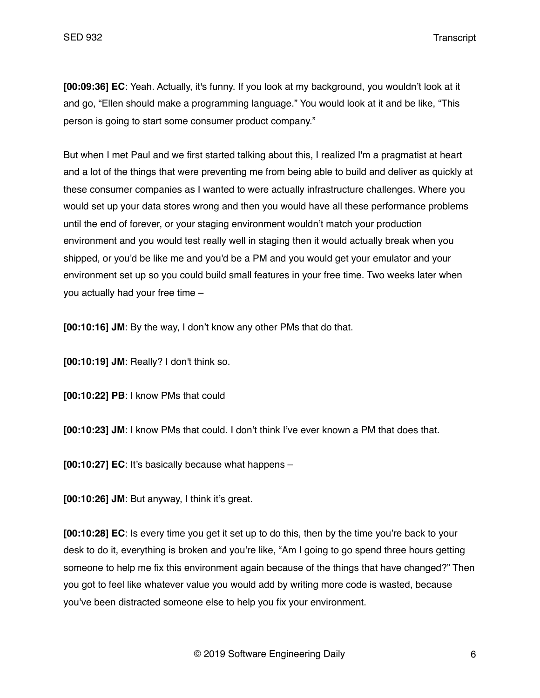**[00:09:36] EC**: Yeah. Actually, it's funny. If you look at my background, you wouldn't look at it and go, "Ellen should make a programming language." You would look at it and be like, "This person is going to start some consumer product company."

But when I met Paul and we first started talking about this, I realized I'm a pragmatist at heart and a lot of the things that were preventing me from being able to build and deliver as quickly at these consumer companies as I wanted to were actually infrastructure challenges. Where you would set up your data stores wrong and then you would have all these performance problems until the end of forever, or your staging environment wouldn't match your production environment and you would test really well in staging then it would actually break when you shipped, or you'd be like me and you'd be a PM and you would get your emulator and your environment set up so you could build small features in your free time. Two weeks later when you actually had your free time –

**[00:10:16] JM**: By the way, I don't know any other PMs that do that.

**[00:10:19] JM**: Really? I don't think so.

**[00:10:22] PB**: I know PMs that could

**[00:10:23] JM**: I know PMs that could. I don't think I've ever known a PM that does that.

**[00:10:27] EC**: It's basically because what happens –

**[00:10:26] JM**: But anyway, I think it's great.

**[00:10:28] EC**: Is every time you get it set up to do this, then by the time you're back to your desk to do it, everything is broken and you're like, "Am I going to go spend three hours getting someone to help me fix this environment again because of the things that have changed?" Then you got to feel like whatever value you would add by writing more code is wasted, because you've been distracted someone else to help you fix your environment.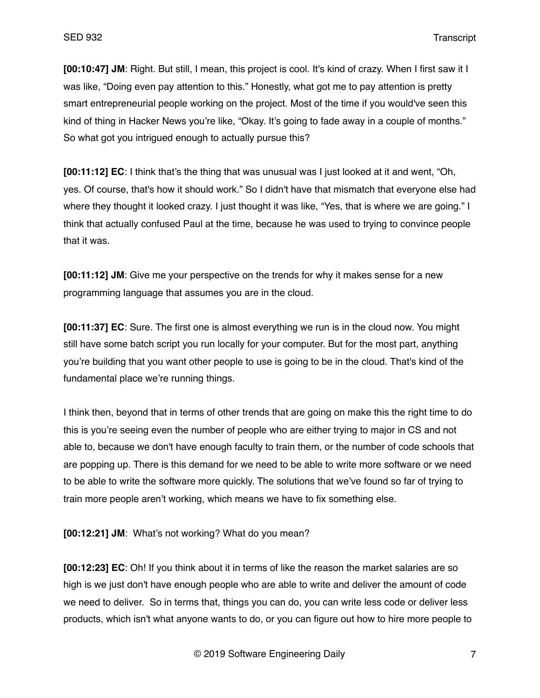**[00:10:47] JM**: Right. But still, I mean, this project is cool. It's kind of crazy. When I first saw it I was like, "Doing even pay attention to this." Honestly, what got me to pay attention is pretty smart entrepreneurial people working on the project. Most of the time if you would've seen this kind of thing in Hacker News you're like, "Okay. It's going to fade away in a couple of months." So what got you intriqued enough to actually pursue this?

**[00:11:12] EC**: I think that's the thing that was unusual was I just looked at it and went, "Oh, yes. Of course, that's how it should work." So I didn't have that mismatch that everyone else had where they thought it looked crazy. I just thought it was like, "Yes, that is where we are going." I think that actually confused Paul at the time, because he was used to trying to convince people that it was.

**[00:11:12] JM**: Give me your perspective on the trends for why it makes sense for a new programming language that assumes you are in the cloud.

**[00:11:37] EC**: Sure. The first one is almost everything we run is in the cloud now. You might still have some batch script you run locally for your computer. But for the most part, anything you're building that you want other people to use is going to be in the cloud. That's kind of the fundamental place we're running things.

I think then, beyond that in terms of other trends that are going on make this the right time to do this is you're seeing even the number of people who are either trying to major in CS and not able to, because we don't have enough faculty to train them, or the number of code schools that are popping up. There is this demand for we need to be able to write more software or we need to be able to write the software more quickly. The solutions that we've found so far of trying to train more people aren't working, which means we have to fix something else.

**[00:12:21] JM**: What's not working? What do you mean?

**[00:12:23] EC**: Oh! If you think about it in terms of like the reason the market salaries are so high is we just don't have enough people who are able to write and deliver the amount of code we need to deliver. So in terms that, things you can do, you can write less code or deliver less products, which isn't what anyone wants to do, or you can figure out how to hire more people to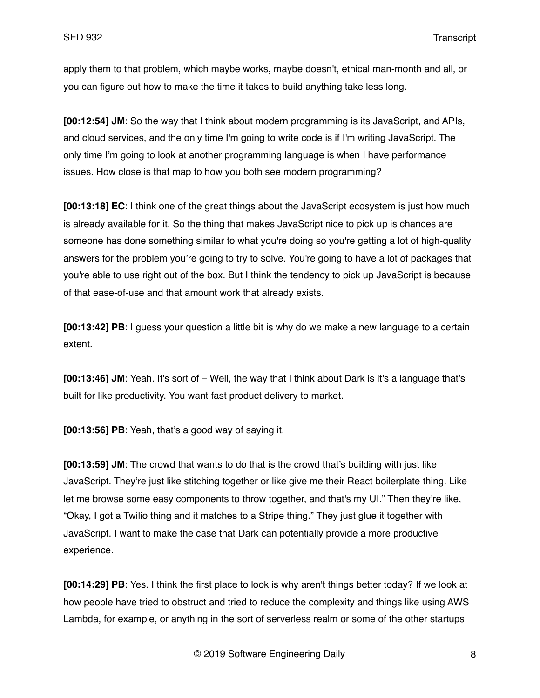apply them to that problem, which maybe works, maybe doesn't, ethical man-month and all, or you can figure out how to make the time it takes to build anything take less long.

**[00:12:54] JM**: So the way that I think about modern programming is its JavaScript, and APIs, and cloud services, and the only time I'm going to write code is if I'm writing JavaScript. The only time I'm going to look at another programming language is when I have performance issues. How close is that map to how you both see modern programming?

**[00:13:18] EC**: I think one of the great things about the JavaScript ecosystem is just how much is already available for it. So the thing that makes JavaScript nice to pick up is chances are someone has done something similar to what you're doing so you're getting a lot of high-quality answers for the problem you're going to try to solve. You're going to have a lot of packages that you're able to use right out of the box. But I think the tendency to pick up JavaScript is because of that ease-of-use and that amount work that already exists.

**[00:13:42] PB**: I guess your question a little bit is why do we make a new language to a certain extent.

**[00:13:46] JM**: Yeah. It's sort of – Well, the way that I think about Dark is it's a language that's built for like productivity. You want fast product delivery to market.

**[00:13:56] PB**: Yeah, that's a good way of saying it.

**[00:13:59] JM**: The crowd that wants to do that is the crowd that's building with just like JavaScript. They're just like stitching together or like give me their React boilerplate thing. Like let me browse some easy components to throw together, and that's my UI." Then they're like, "Okay, I got a Twilio thing and it matches to a Stripe thing." They just glue it together with JavaScript. I want to make the case that Dark can potentially provide a more productive experience.

**[00:14:29] PB**: Yes. I think the first place to look is why aren't things better today? If we look at how people have tried to obstruct and tried to reduce the complexity and things like using AWS Lambda, for example, or anything in the sort of serverless realm or some of the other startups

© 2019 Software Engineering Daily 8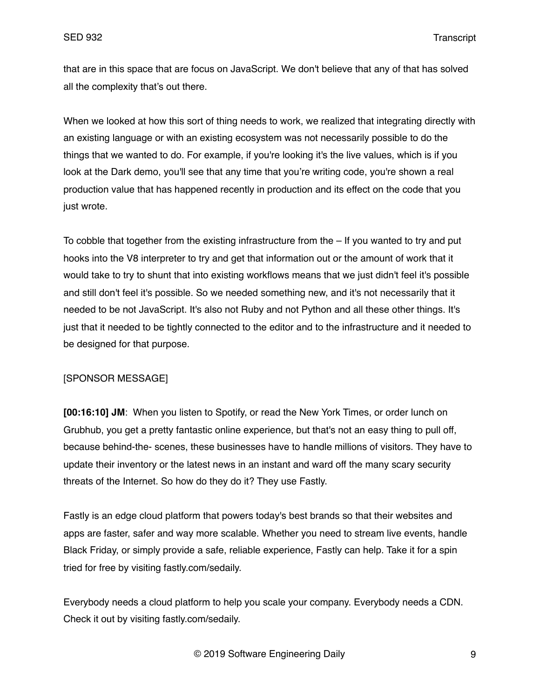that are in this space that are focus on JavaScript. We don't believe that any of that has solved all the complexity that's out there.

When we looked at how this sort of thing needs to work, we realized that integrating directly with an existing language or with an existing ecosystem was not necessarily possible to do the things that we wanted to do. For example, if you're looking it's the live values, which is if you look at the Dark demo, you'll see that any time that you're writing code, you're shown a real production value that has happened recently in production and its effect on the code that you just wrote.

To cobble that together from the existing infrastructure from the – If you wanted to try and put hooks into the V8 interpreter to try and get that information out or the amount of work that it would take to try to shunt that into existing workflows means that we just didn't feel it's possible and still don't feel it's possible. So we needed something new, and it's not necessarily that it needed to be not JavaScript. It's also not Ruby and not Python and all these other things. It's just that it needed to be tightly connected to the editor and to the infrastructure and it needed to be designed for that purpose.

### [SPONSOR MESSAGE]

**[00:16:10] JM**: When you listen to Spotify, or read the New York Times, or order lunch on Grubhub, you get a pretty fantastic online experience, but that's not an easy thing to pull off, because behind-the- scenes, these businesses have to handle millions of visitors. They have to update their inventory or the latest news in an instant and ward off the many scary security threats of the Internet. So how do they do it? They use Fastly.

Fastly is an edge cloud platform that powers today's best brands so that their websites and apps are faster, safer and way more scalable. Whether you need to stream live events, handle Black Friday, or simply provide a safe, reliable experience, Fastly can help. Take it for a spin tried for free by visiting fastly.com/sedaily.

Everybody needs a cloud platform to help you scale your company. Everybody needs a CDN. Check it out by visiting fastly.com/sedaily.

© 2019 Software Engineering Daily 9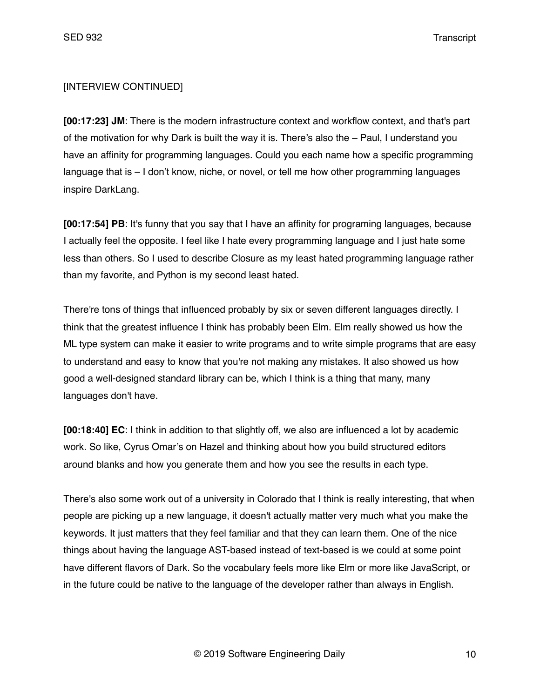## [INTERVIEW CONTINUED]

**[00:17:23] JM**: There is the modern infrastructure context and workflow context, and that's part of the motivation for why Dark is built the way it is. There's also the – Paul, I understand you have an affinity for programming languages. Could you each name how a specific programming language that is – I don't know, niche, or novel, or tell me how other programming languages inspire DarkLang.

**[00:17:54] PB**: It's funny that you say that I have an affinity for programing languages, because I actually feel the opposite. I feel like I hate every programming language and I just hate some less than others. So I used to describe Closure as my least hated programming language rather than my favorite, and Python is my second least hated.

There're tons of things that influenced probably by six or seven different languages directly. I think that the greatest influence I think has probably been Elm. Elm really showed us how the ML type system can make it easier to write programs and to write simple programs that are easy to understand and easy to know that you're not making any mistakes. It also showed us how good a well-designed standard library can be, which I think is a thing that many, many languages don't have.

**[00:18:40] EC**: I think in addition to that slightly off, we also are influenced a lot by academic work. So like, Cyrus Omar's on Hazel and thinking about how you build structured editors around blanks and how you generate them and how you see the results in each type.

There's also some work out of a university in Colorado that I think is really interesting, that when people are picking up a new language, it doesn't actually matter very much what you make the keywords. It just matters that they feel familiar and that they can learn them. One of the nice things about having the language AST-based instead of text-based is we could at some point have different flavors of Dark. So the vocabulary feels more like Elm or more like JavaScript, or in the future could be native to the language of the developer rather than always in English.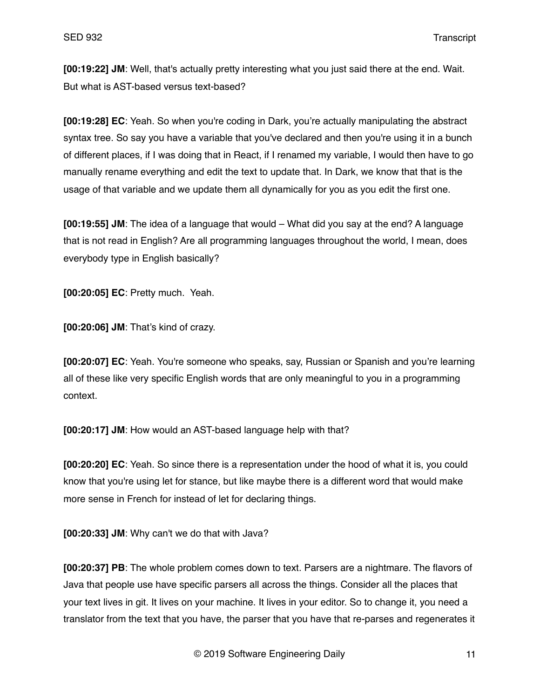**[00:19:22] JM**: Well, that's actually pretty interesting what you just said there at the end. Wait. But what is AST-based versus text-based?

**[00:19:28] EC**: Yeah. So when you're coding in Dark, you're actually manipulating the abstract syntax tree. So say you have a variable that you've declared and then you're using it in a bunch of different places, if I was doing that in React, if I renamed my variable, I would then have to go manually rename everything and edit the text to update that. In Dark, we know that that is the usage of that variable and we update them all dynamically for you as you edit the first one.

**[00:19:55] JM**: The idea of a language that would – What did you say at the end? A language that is not read in English? Are all programming languages throughout the world, I mean, does everybody type in English basically?

**[00:20:05] EC**: Pretty much. Yeah.

**[00:20:06] JM**: That's kind of crazy.

**[00:20:07] EC**: Yeah. You're someone who speaks, say, Russian or Spanish and you're learning all of these like very specific English words that are only meaningful to you in a programming context.

**[00:20:17] JM**: How would an AST-based language help with that?

**[00:20:20] EC**: Yeah. So since there is a representation under the hood of what it is, you could know that you're using let for stance, but like maybe there is a different word that would make more sense in French for instead of let for declaring things.

**[00:20:33] JM**: Why can't we do that with Java?

**[00:20:37] PB**: The whole problem comes down to text. Parsers are a nightmare. The flavors of Java that people use have specific parsers all across the things. Consider all the places that your text lives in git. It lives on your machine. It lives in your editor. So to change it, you need a translator from the text that you have, the parser that you have that re-parses and regenerates it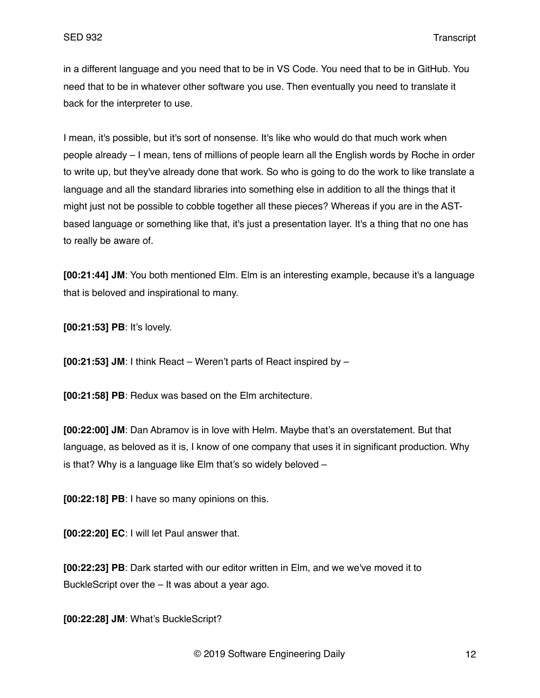in a different language and you need that to be in VS Code. You need that to be in GitHub. You need that to be in whatever other software you use. Then eventually you need to translate it back for the interpreter to use.

I mean, it's possible, but it's sort of nonsense. It's like who would do that much work when people already – I mean, tens of millions of people learn all the English words by Roche in order to write up, but they've already done that work. So who is going to do the work to like translate a language and all the standard libraries into something else in addition to all the things that it might just not be possible to cobble together all these pieces? Whereas if you are in the ASTbased language or something like that, it's just a presentation layer. It's a thing that no one has to really be aware of.

**[00:21:44] JM**: You both mentioned Elm. Elm is an interesting example, because it's a language that is beloved and inspirational to many.

**[00:21:53] PB**: It's lovely.

**[00:21:53] JM**: I think React – Weren't parts of React inspired by –

**[00:21:58] PB**: Redux was based on the Elm architecture.

**[00:22:00] JM**: Dan Abramov is in love with Helm. Maybe that's an overstatement. But that language, as beloved as it is, I know of one company that uses it in significant production. Why is that? Why is a language like Elm that's so widely beloved –

**[00:22:18] PB**: I have so many opinions on this.

**[00:22:20] EC**: I will let Paul answer that.

**[00:22:23] PB**: Dark started with our editor written in Elm, and we we've moved it to BuckleScript over the – It was about a year ago.

**[00:22:28] JM**: What's BuckleScript?

© 2019 Software Engineering Daily 12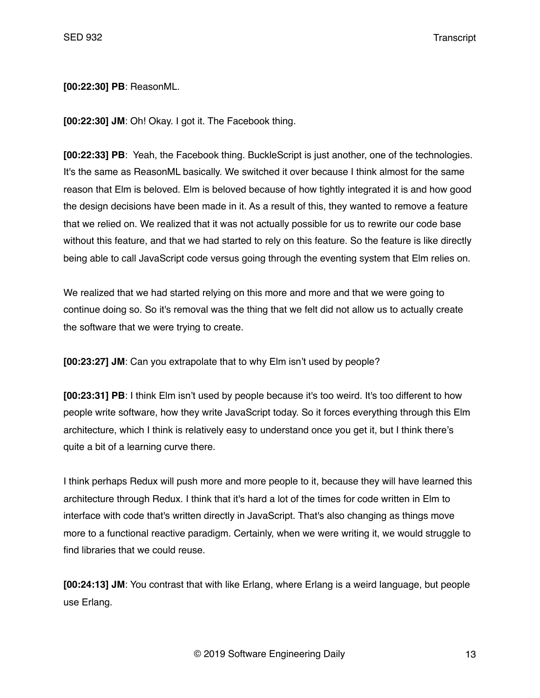**[00:22:30] PB**: ReasonML.

**[00:22:30] JM**: Oh! Okay. I got it. The Facebook thing.

**[00:22:33] PB**: Yeah, the Facebook thing. BuckleScript is just another, one of the technologies. It's the same as ReasonML basically. We switched it over because I think almost for the same reason that Elm is beloved. Elm is beloved because of how tightly integrated it is and how good the design decisions have been made in it. As a result of this, they wanted to remove a feature that we relied on. We realized that it was not actually possible for us to rewrite our code base without this feature, and that we had started to rely on this feature. So the feature is like directly being able to call JavaScript code versus going through the eventing system that Elm relies on.

We realized that we had started relying on this more and more and that we were going to continue doing so. So it's removal was the thing that we felt did not allow us to actually create the software that we were trying to create.

**[00:23:27] JM**: Can you extrapolate that to why Elm isn't used by people?

**[00:23:31] PB**: I think Elm isn't used by people because it's too weird. It's too different to how people write software, how they write JavaScript today. So it forces everything through this Elm architecture, which I think is relatively easy to understand once you get it, but I think there's quite a bit of a learning curve there.

I think perhaps Redux will push more and more people to it, because they will have learned this architecture through Redux. I think that it's hard a lot of the times for code written in Elm to interface with code that's written directly in JavaScript. That's also changing as things move more to a functional reactive paradigm. Certainly, when we were writing it, we would struggle to find libraries that we could reuse.

**[00:24:13] JM**: You contrast that with like Erlang, where Erlang is a weird language, but people use Erlang.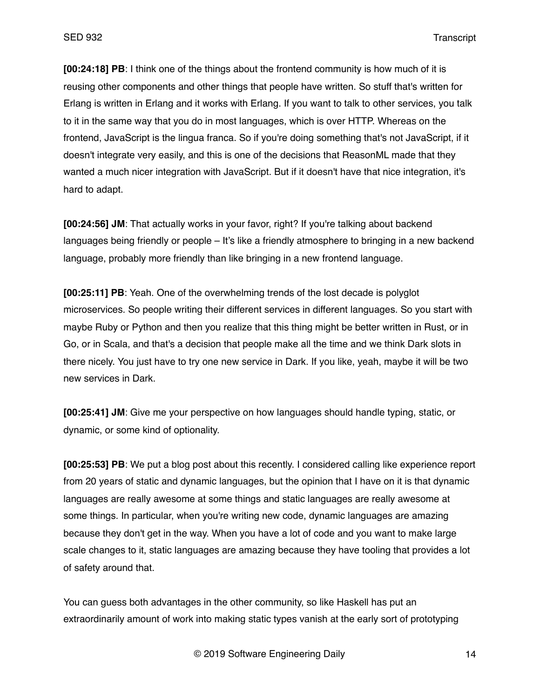**[00:24:18] PB**: I think one of the things about the frontend community is how much of it is reusing other components and other things that people have written. So stuff that's written for Erlang is written in Erlang and it works with Erlang. If you want to talk to other services, you talk to it in the same way that you do in most languages, which is over HTTP. Whereas on the frontend, JavaScript is the lingua franca. So if you're doing something that's not JavaScript, if it doesn't integrate very easily, and this is one of the decisions that ReasonML made that they wanted a much nicer integration with JavaScript. But if it doesn't have that nice integration, it's hard to adapt.

**[00:24:56] JM**: That actually works in your favor, right? If you're talking about backend languages being friendly or people – It's like a friendly atmosphere to bringing in a new backend language, probably more friendly than like bringing in a new frontend language.

**[00:25:11] PB**: Yeah. One of the overwhelming trends of the lost decade is polyglot microservices. So people writing their different services in different languages. So you start with maybe Ruby or Python and then you realize that this thing might be better written in Rust, or in Go, or in Scala, and that's a decision that people make all the time and we think Dark slots in there nicely. You just have to try one new service in Dark. If you like, yeah, maybe it will be two new services in Dark.

**[00:25:41] JM**: Give me your perspective on how languages should handle typing, static, or dynamic, or some kind of optionality.

**[00:25:53] PB**: We put a blog post about this recently. I considered calling like experience report from 20 years of static and dynamic languages, but the opinion that I have on it is that dynamic languages are really awesome at some things and static languages are really awesome at some things. In particular, when you're writing new code, dynamic languages are amazing because they don't get in the way. When you have a lot of code and you want to make large scale changes to it, static languages are amazing because they have tooling that provides a lot of safety around that.

You can guess both advantages in the other community, so like Haskell has put an extraordinarily amount of work into making static types vanish at the early sort of prototyping

© 2019 Software Engineering Daily 14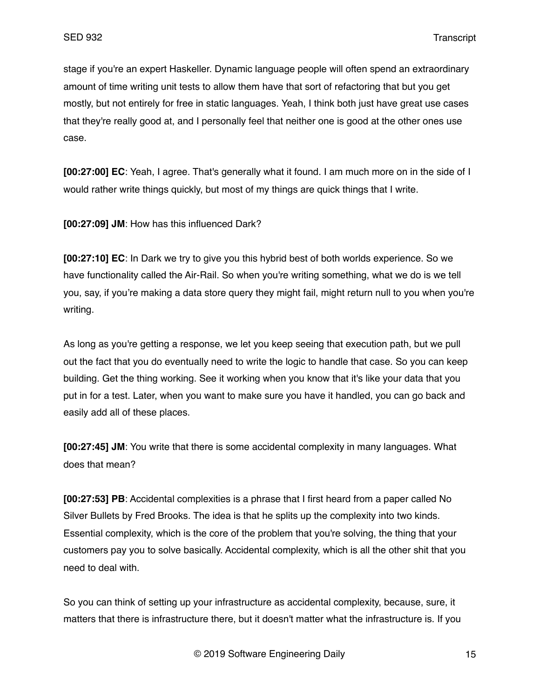stage if you're an expert Haskeller. Dynamic language people will often spend an extraordinary amount of time writing unit tests to allow them have that sort of refactoring that but you get mostly, but not entirely for free in static languages. Yeah, I think both just have great use cases that they're really good at, and I personally feel that neither one is good at the other ones use case.

**[00:27:00] EC**: Yeah, I agree. That's generally what it found. I am much more on in the side of I would rather write things quickly, but most of my things are quick things that I write.

**[00:27:09] JM**: How has this influenced Dark?

**[00:27:10] EC**: In Dark we try to give you this hybrid best of both worlds experience. So we have functionality called the Air-Rail. So when you're writing something, what we do is we tell you, say, if you're making a data store query they might fail, might return null to you when you're writing.

As long as you're getting a response, we let you keep seeing that execution path, but we pull out the fact that you do eventually need to write the logic to handle that case. So you can keep building. Get the thing working. See it working when you know that it's like your data that you put in for a test. Later, when you want to make sure you have it handled, you can go back and easily add all of these places.

**[00:27:45] JM**: You write that there is some accidental complexity in many languages. What does that mean?

**[00:27:53] PB**: Accidental complexities is a phrase that I first heard from a paper called No Silver Bullets by Fred Brooks. The idea is that he splits up the complexity into two kinds. Essential complexity, which is the core of the problem that you're solving, the thing that your customers pay you to solve basically. Accidental complexity, which is all the other shit that you need to deal with.

So you can think of setting up your infrastructure as accidental complexity, because, sure, it matters that there is infrastructure there, but it doesn't matter what the infrastructure is. If you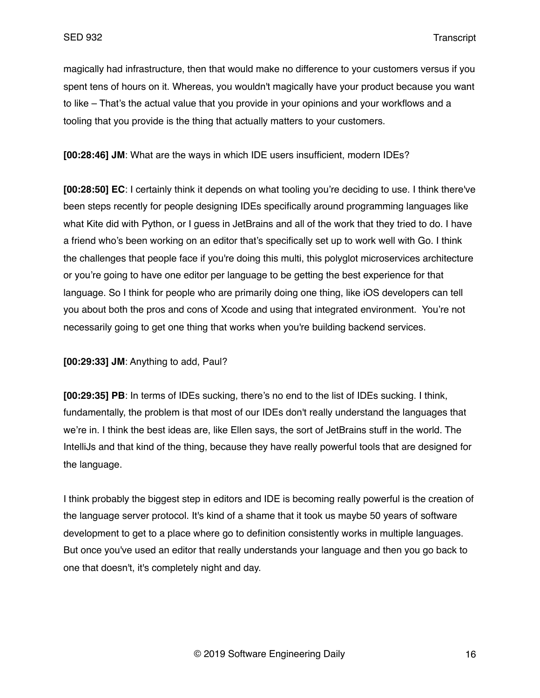magically had infrastructure, then that would make no difference to your customers versus if you spent tens of hours on it. Whereas, you wouldn't magically have your product because you want to like – That's the actual value that you provide in your opinions and your workflows and a tooling that you provide is the thing that actually matters to your customers.

**[00:28:46] JM**: What are the ways in which IDE users insufficient, modern IDEs?

**[00:28:50] EC**: I certainly think it depends on what tooling you're deciding to use. I think there've been steps recently for people designing IDEs specifically around programming languages like what Kite did with Python, or I guess in JetBrains and all of the work that they tried to do. I have a friend who's been working on an editor that's specifically set up to work well with Go. I think the challenges that people face if you're doing this multi, this polyglot microservices architecture or you're going to have one editor per language to be getting the best experience for that language. So I think for people who are primarily doing one thing, like iOS developers can tell you about both the pros and cons of Xcode and using that integrated environment. You're not necessarily going to get one thing that works when you're building backend services.

**[00:29:33] JM**: Anything to add, Paul?

**[00:29:35] PB**: In terms of IDEs sucking, there's no end to the list of IDEs sucking. I think, fundamentally, the problem is that most of our IDEs don't really understand the languages that we're in. I think the best ideas are, like Ellen says, the sort of JetBrains stuff in the world. The IntelliJs and that kind of the thing, because they have really powerful tools that are designed for the language.

I think probably the biggest step in editors and IDE is becoming really powerful is the creation of the language server protocol. It's kind of a shame that it took us maybe 50 years of software development to get to a place where go to definition consistently works in multiple languages. But once you've used an editor that really understands your language and then you go back to one that doesn't, it's completely night and day.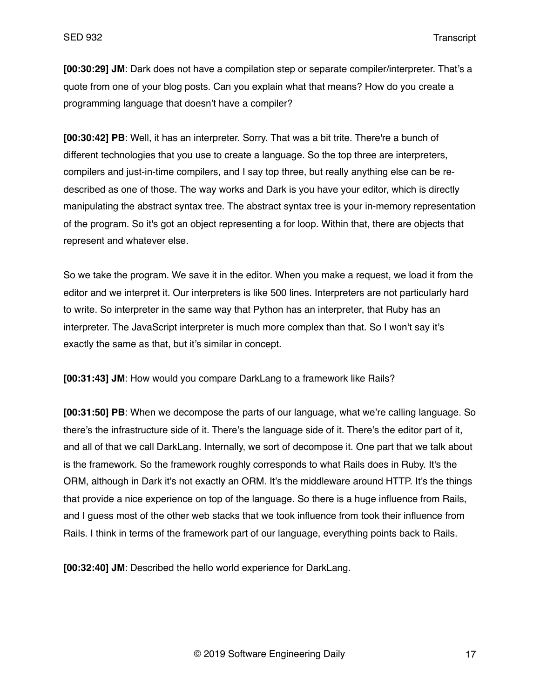**[00:30:29] JM**: Dark does not have a compilation step or separate compiler/interpreter. That's a quote from one of your blog posts. Can you explain what that means? How do you create a programming language that doesn't have a compiler?

**[00:30:42] PB**: Well, it has an interpreter. Sorry. That was a bit trite. There're a bunch of different technologies that you use to create a language. So the top three are interpreters, compilers and just-in-time compilers, and I say top three, but really anything else can be redescribed as one of those. The way works and Dark is you have your editor, which is directly manipulating the abstract syntax tree. The abstract syntax tree is your in-memory representation of the program. So it's got an object representing a for loop. Within that, there are objects that represent and whatever else.

So we take the program. We save it in the editor. When you make a request, we load it from the editor and we interpret it. Our interpreters is like 500 lines. Interpreters are not particularly hard to write. So interpreter in the same way that Python has an interpreter, that Ruby has an interpreter. The JavaScript interpreter is much more complex than that. So I won't say it's exactly the same as that, but it's similar in concept.

**[00:31:43] JM**: How would you compare DarkLang to a framework like Rails?

**[00:31:50] PB**: When we decompose the parts of our language, what we're calling language. So there's the infrastructure side of it. There's the language side of it. There's the editor part of it, and all of that we call DarkLang. Internally, we sort of decompose it. One part that we talk about is the framework. So the framework roughly corresponds to what Rails does in Ruby. It's the ORM, although in Dark it's not exactly an ORM. It's the middleware around HTTP. It's the things that provide a nice experience on top of the language. So there is a huge influence from Rails, and I guess most of the other web stacks that we took influence from took their influence from Rails. I think in terms of the framework part of our language, everything points back to Rails.

**[00:32:40] JM**: Described the hello world experience for DarkLang.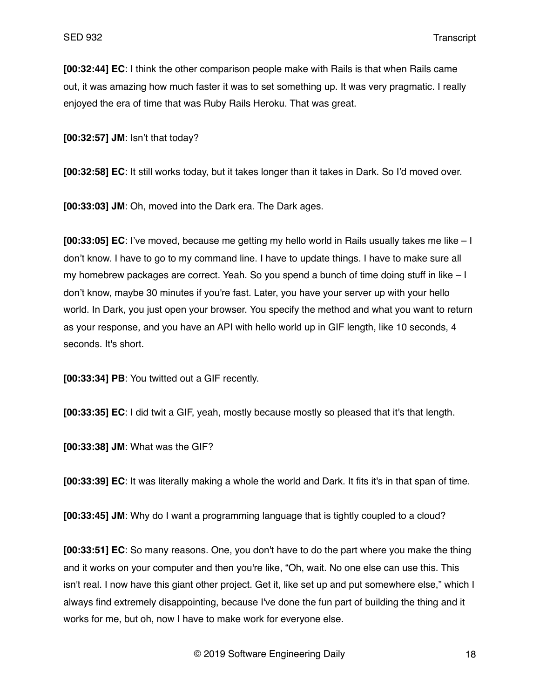**[00:32:44] EC**: I think the other comparison people make with Rails is that when Rails came out, it was amazing how much faster it was to set something up. It was very pragmatic. I really enjoyed the era of time that was Ruby Rails Heroku. That was great.

**[00:32:57] JM**: Isn't that today?

**[00:32:58] EC**: It still works today, but it takes longer than it takes in Dark. So I'd moved over.

**[00:33:03] JM**: Oh, moved into the Dark era. The Dark ages.

**[00:33:05] EC**: I've moved, because me getting my hello world in Rails usually takes me like – I don't know. I have to go to my command line. I have to update things. I have to make sure all my homebrew packages are correct. Yeah. So you spend a bunch of time doing stuff in like – I don't know, maybe 30 minutes if you're fast. Later, you have your server up with your hello world. In Dark, you just open your browser. You specify the method and what you want to return as your response, and you have an API with hello world up in GIF length, like 10 seconds, 4 seconds. It's short.

**[00:33:34] PB**: You twitted out a GIF recently.

**[00:33:35] EC**: I did twit a GIF, yeah, mostly because mostly so pleased that it's that length.

**[00:33:38] JM**: What was the GIF?

**[00:33:39] EC**: It was literally making a whole the world and Dark. It fits it's in that span of time.

**[00:33:45] JM**: Why do I want a programming language that is tightly coupled to a cloud?

**[00:33:51] EC**: So many reasons. One, you don't have to do the part where you make the thing and it works on your computer and then you're like, "Oh, wait. No one else can use this. This isn't real. I now have this giant other project. Get it, like set up and put somewhere else," which I always find extremely disappointing, because I've done the fun part of building the thing and it works for me, but oh, now I have to make work for everyone else.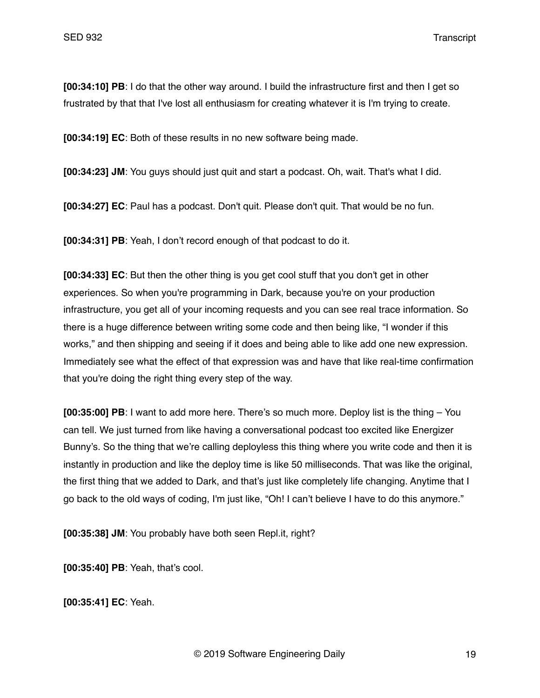**[00:34:10] PB**: I do that the other way around. I build the infrastructure first and then I get so frustrated by that that I've lost all enthusiasm for creating whatever it is I'm trying to create.

**[00:34:19] EC**: Both of these results in no new software being made.

**[00:34:23] JM**: You guys should just quit and start a podcast. Oh, wait. That's what I did.

**[00:34:27] EC**: Paul has a podcast. Don't quit. Please don't quit. That would be no fun.

**[00:34:31] PB**: Yeah, I don't record enough of that podcast to do it.

**[00:34:33] EC**: But then the other thing is you get cool stuff that you don't get in other experiences. So when you're programming in Dark, because you're on your production infrastructure, you get all of your incoming requests and you can see real trace information. So there is a huge difference between writing some code and then being like, "I wonder if this works," and then shipping and seeing if it does and being able to like add one new expression. Immediately see what the effect of that expression was and have that like real-time confirmation that you're doing the right thing every step of the way.

**[00:35:00] PB**: I want to add more here. There's so much more. Deploy list is the thing – You can tell. We just turned from like having a conversational podcast too excited like Energizer Bunny's. So the thing that we're calling deployless this thing where you write code and then it is instantly in production and like the deploy time is like 50 milliseconds. That was like the original, the first thing that we added to Dark, and that's just like completely life changing. Anytime that I go back to the old ways of coding, I'm just like, "Oh! I can't believe I have to do this anymore."

**[00:35:38] JM**: You probably have both seen Repl.it, right?

**[00:35:40] PB**: Yeah, that's cool.

**[00:35:41] EC**: Yeah.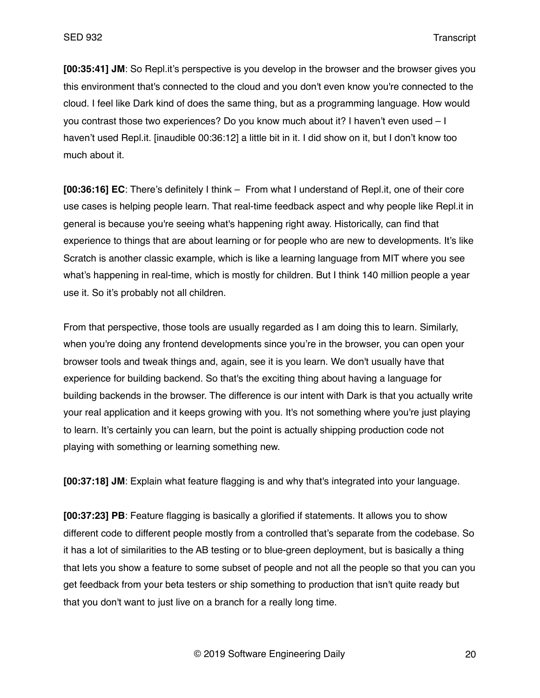**[00:35:41] JM**: So Repl.it's perspective is you develop in the browser and the browser gives you this environment that's connected to the cloud and you don't even know you're connected to the cloud. I feel like Dark kind of does the same thing, but as a programming language. How would you contrast those two experiences? Do you know much about it? I haven't even used – I haven't used Repl.it. [inaudible 00:36:12] a little bit in it. I did show on it, but I don't know too much about it.

**[00:36:16] EC**: There's definitely I think – From what I understand of Repl.it, one of their core use cases is helping people learn. That real-time feedback aspect and why people like Repl.it in general is because you're seeing what's happening right away. Historically, can find that experience to things that are about learning or for people who are new to developments. It's like Scratch is another classic example, which is like a learning language from MIT where you see what's happening in real-time, which is mostly for children. But I think 140 million people a year use it. So it's probably not all children.

From that perspective, those tools are usually regarded as I am doing this to learn. Similarly, when you're doing any frontend developments since you're in the browser, you can open your browser tools and tweak things and, again, see it is you learn. We don't usually have that experience for building backend. So that's the exciting thing about having a language for building backends in the browser. The difference is our intent with Dark is that you actually write your real application and it keeps growing with you. It's not something where you're just playing to learn. It's certainly you can learn, but the point is actually shipping production code not playing with something or learning something new.

**[00:37:18] JM**: Explain what feature flagging is and why that's integrated into your language.

**[00:37:23] PB**: Feature flagging is basically a glorified if statements. It allows you to show different code to different people mostly from a controlled that's separate from the codebase. So it has a lot of similarities to the AB testing or to blue-green deployment, but is basically a thing that lets you show a feature to some subset of people and not all the people so that you can you get feedback from your beta testers or ship something to production that isn't quite ready but that you don't want to just live on a branch for a really long time.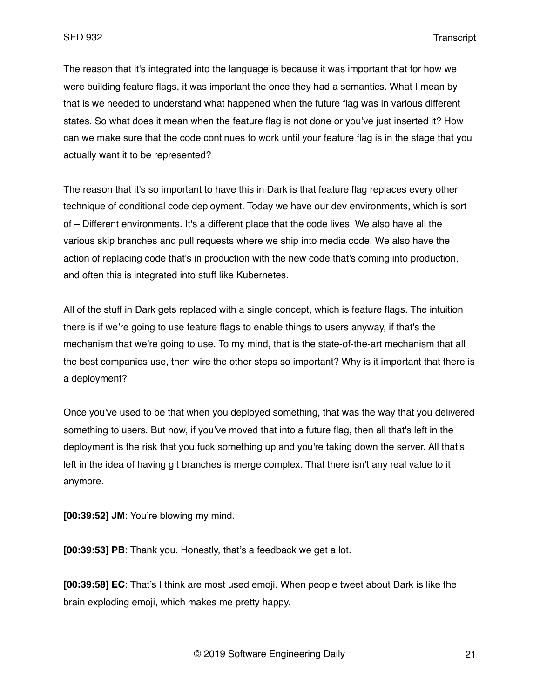The reason that it's integrated into the language is because it was important that for how we were building feature flags, it was important the once they had a semantics. What I mean by that is we needed to understand what happened when the future flag was in various different states. So what does it mean when the feature flag is not done or you've just inserted it? How can we make sure that the code continues to work until your feature flag is in the stage that you actually want it to be represented?

The reason that it's so important to have this in Dark is that feature flag replaces every other technique of conditional code deployment. Today we have our dev environments, which is sort of – Different environments. It's a different place that the code lives. We also have all the various skip branches and pull requests where we ship into media code. We also have the action of replacing code that's in production with the new code that's coming into production, and often this is integrated into stuff like Kubernetes.

All of the stuff in Dark gets replaced with a single concept, which is feature flags. The intuition there is if we're going to use feature flags to enable things to users anyway, if that's the mechanism that we're going to use. To my mind, that is the state-of-the-art mechanism that all the best companies use, then wire the other steps so important? Why is it important that there is a deployment?

Once you've used to be that when you deployed something, that was the way that you delivered something to users. But now, if you've moved that into a future flag, then all that's left in the deployment is the risk that you fuck something up and you're taking down the server. All that's left in the idea of having git branches is merge complex. That there isn't any real value to it anymore.

**[00:39:52] JM**: You're blowing my mind.

**[00:39:53] PB**: Thank you. Honestly, that's a feedback we get a lot.

**[00:39:58] EC**: That's I think are most used emoji. When people tweet about Dark is like the brain exploding emoji, which makes me pretty happy.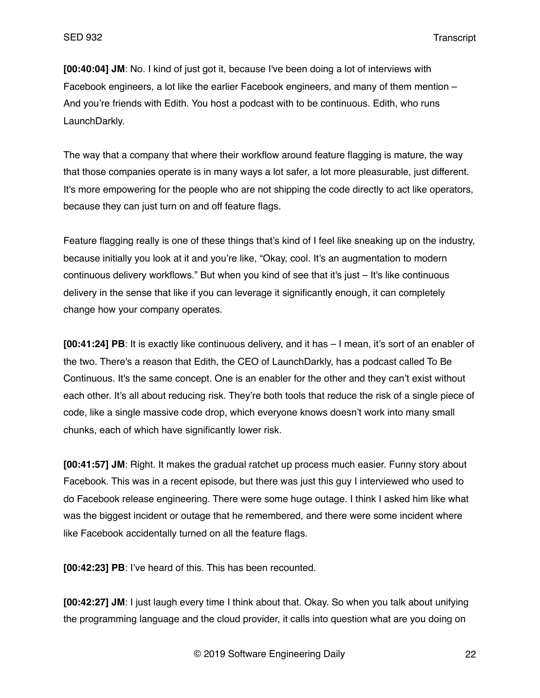**[00:40:04] JM**: No. I kind of just got it, because I've been doing a lot of interviews with Facebook engineers, a lot like the earlier Facebook engineers, and many of them mention – And you're friends with Edith. You host a podcast with to be continuous. Edith, who runs LaunchDarkly.

The way that a company that where their workflow around feature flagging is mature, the way that those companies operate is in many ways a lot safer, a lot more pleasurable, just different. It's more empowering for the people who are not shipping the code directly to act like operators, because they can just turn on and off feature flags.

Feature flagging really is one of these things that's kind of I feel like sneaking up on the industry, because initially you look at it and you're like, "Okay, cool. It's an augmentation to modern continuous delivery workflows." But when you kind of see that it's just – It's like continuous delivery in the sense that like if you can leverage it significantly enough, it can completely change how your company operates.

**[00:41:24] PB**: It is exactly like continuous delivery, and it has – I mean, it's sort of an enabler of the two. There's a reason that Edith, the CEO of LaunchDarkly, has a podcast called To Be Continuous. It's the same concept. One is an enabler for the other and they can't exist without each other. It's all about reducing risk. They're both tools that reduce the risk of a single piece of code, like a single massive code drop, which everyone knows doesn't work into many small chunks, each of which have significantly lower risk.

**[00:41:57] JM**: Right. It makes the gradual ratchet up process much easier. Funny story about Facebook. This was in a recent episode, but there was just this guy I interviewed who used to do Facebook release engineering. There were some huge outage. I think I asked him like what was the biggest incident or outage that he remembered, and there were some incident where like Facebook accidentally turned on all the feature flags.

**[00:42:23] PB**: I've heard of this. This has been recounted.

**[00:42:27] JM**: I just laugh every time I think about that. Okay. So when you talk about unifying the programming language and the cloud provider, it calls into question what are you doing on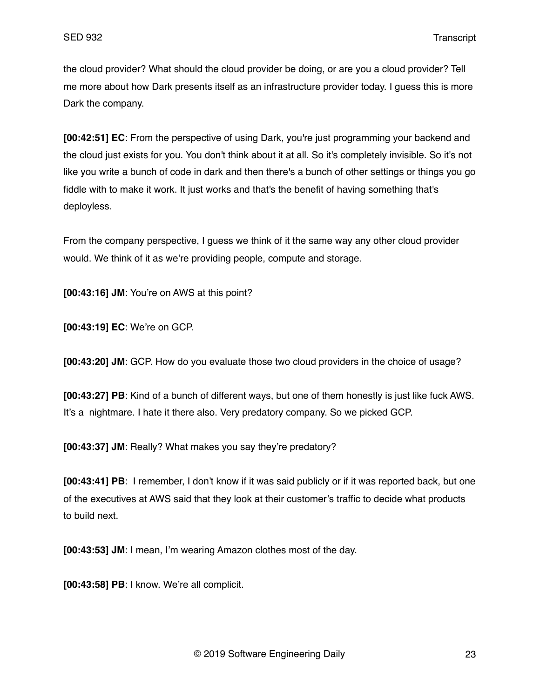the cloud provider? What should the cloud provider be doing, or are you a cloud provider? Tell me more about how Dark presents itself as an infrastructure provider today. I guess this is more Dark the company.

**[00:42:51] EC**: From the perspective of using Dark, you're just programming your backend and the cloud just exists for you. You don't think about it at all. So it's completely invisible. So it's not like you write a bunch of code in dark and then there's a bunch of other settings or things you go fiddle with to make it work. It just works and that's the benefit of having something that's deployless.

From the company perspective, I guess we think of it the same way any other cloud provider would. We think of it as we're providing people, compute and storage.

**[00:43:16] JM**: You're on AWS at this point?

**[00:43:19] EC**: We're on GCP.

**[00:43:20] JM**: GCP. How do you evaluate those two cloud providers in the choice of usage?

**[00:43:27] PB**: Kind of a bunch of different ways, but one of them honestly is just like fuck AWS. It's a nightmare. I hate it there also. Very predatory company. So we picked GCP.

**[00:43:37] JM**: Really? What makes you say they're predatory?

**[00:43:41] PB**: I remember, I don't know if it was said publicly or if it was reported back, but one of the executives at AWS said that they look at their customer's traffic to decide what products to build next.

**[00:43:53] JM**: I mean, I'm wearing Amazon clothes most of the day.

**[00:43:58] PB**: I know. We're all complicit.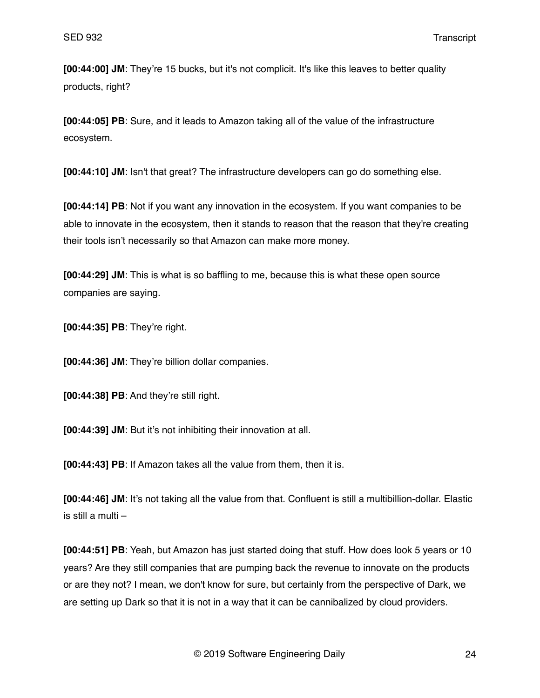**[00:44:00] JM**: They're 15 bucks, but it's not complicit. It's like this leaves to better quality products, right?

**[00:44:05] PB**: Sure, and it leads to Amazon taking all of the value of the infrastructure ecosystem.

**[00:44:10] JM**: Isn't that great? The infrastructure developers can go do something else.

**[00:44:14] PB**: Not if you want any innovation in the ecosystem. If you want companies to be able to innovate in the ecosystem, then it stands to reason that the reason that they're creating their tools isn't necessarily so that Amazon can make more money.

**[00:44:29] JM**: This is what is so baffling to me, because this is what these open source companies are saying.

**[00:44:35] PB**: They're right.

**[00:44:36] JM**: They're billion dollar companies.

**[00:44:38] PB**: And they're still right.

**[00:44:39] JM**: But it's not inhibiting their innovation at all.

**[00:44:43] PB**: If Amazon takes all the value from them, then it is.

**[00:44:46] JM**: It's not taking all the value from that. Confluent is still a multibillion-dollar. Elastic is still a multi –

**[00:44:51] PB**: Yeah, but Amazon has just started doing that stuff. How does look 5 years or 10 years? Are they still companies that are pumping back the revenue to innovate on the products or are they not? I mean, we don't know for sure, but certainly from the perspective of Dark, we are setting up Dark so that it is not in a way that it can be cannibalized by cloud providers.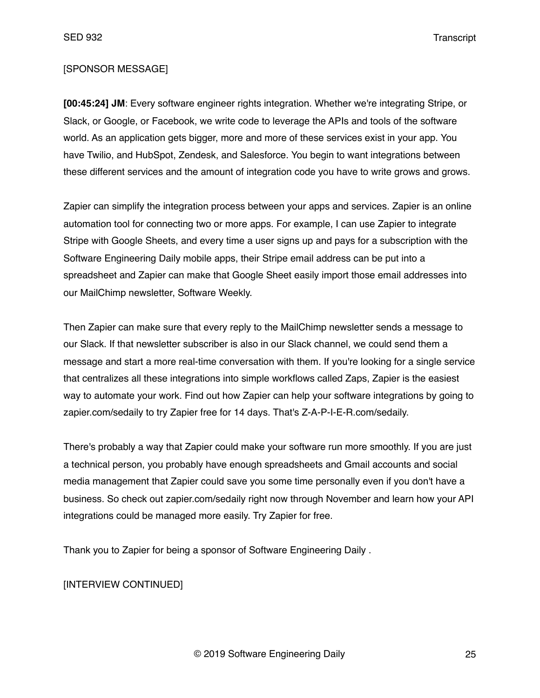#### [SPONSOR MESSAGE]

**[00:45:24] JM**: Every software engineer rights integration. Whether we're integrating Stripe, or Slack, or Google, or Facebook, we write code to leverage the APIs and tools of the software world. As an application gets bigger, more and more of these services exist in your app. You have Twilio, and HubSpot, Zendesk, and Salesforce. You begin to want integrations between these different services and the amount of integration code you have to write grows and grows.

Zapier can simplify the integration process between your apps and services. Zapier is an online automation tool for connecting two or more apps. For example, I can use Zapier to integrate Stripe with Google Sheets, and every time a user signs up and pays for a subscription with the Software Engineering Daily mobile apps, their Stripe email address can be put into a spreadsheet and Zapier can make that Google Sheet easily import those email addresses into our MailChimp newsletter, Software Weekly.

Then Zapier can make sure that every reply to the MailChimp newsletter sends a message to our Slack. If that newsletter subscriber is also in our Slack channel, we could send them a message and start a more real-time conversation with them. If you're looking for a single service that centralizes all these integrations into simple workflows called Zaps, Zapier is the easiest way to automate your work. Find out how Zapier can help your software integrations by going to zapier.com/sedaily to try Zapier free for 14 days. That's Z-A-P-I-E-R.com/sedaily.

There's probably a way that Zapier could make your software run more smoothly. If you are just a technical person, you probably have enough spreadsheets and Gmail accounts and social media management that Zapier could save you some time personally even if you don't have a business. So check out zapier.com/sedaily right now through November and learn how your API integrations could be managed more easily. Try Zapier for free.

Thank you to Zapier for being a sponsor of Software Engineering Daily .

[INTERVIEW CONTINUED]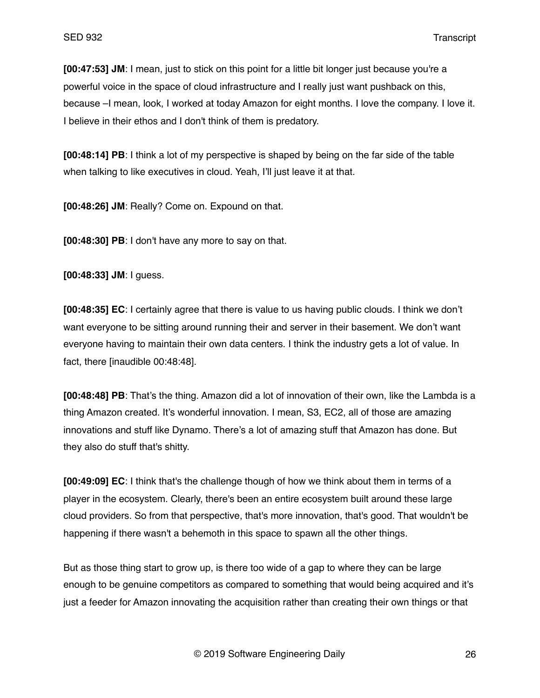**[00:47:53] JM**: I mean, just to stick on this point for a little bit longer just because you're a powerful voice in the space of cloud infrastructure and I really just want pushback on this, because –I mean, look, I worked at today Amazon for eight months. I love the company. I love it. I believe in their ethos and I don't think of them is predatory.

**[00:48:14] PB**: I think a lot of my perspective is shaped by being on the far side of the table when talking to like executives in cloud. Yeah, I'll just leave it at that.

**[00:48:26] JM**: Really? Come on. Expound on that.

**[00:48:30] PB**: I don't have any more to say on that.

**[00:48:33] JM**: I guess.

**[00:48:35] EC**: I certainly agree that there is value to us having public clouds. I think we don't want everyone to be sitting around running their and server in their basement. We don't want everyone having to maintain their own data centers. I think the industry gets a lot of value. In fact, there [inaudible 00:48:48].

**[00:48:48] PB**: That's the thing. Amazon did a lot of innovation of their own, like the Lambda is a thing Amazon created. It's wonderful innovation. I mean, S3, EC2, all of those are amazing innovations and stuff like Dynamo. There's a lot of amazing stuff that Amazon has done. But they also do stuff that's shitty.

**[00:49:09] EC**: I think that's the challenge though of how we think about them in terms of a player in the ecosystem. Clearly, there's been an entire ecosystem built around these large cloud providers. So from that perspective, that's more innovation, that's good. That wouldn't be happening if there wasn't a behemoth in this space to spawn all the other things.

But as those thing start to grow up, is there too wide of a gap to where they can be large enough to be genuine competitors as compared to something that would being acquired and it's just a feeder for Amazon innovating the acquisition rather than creating their own things or that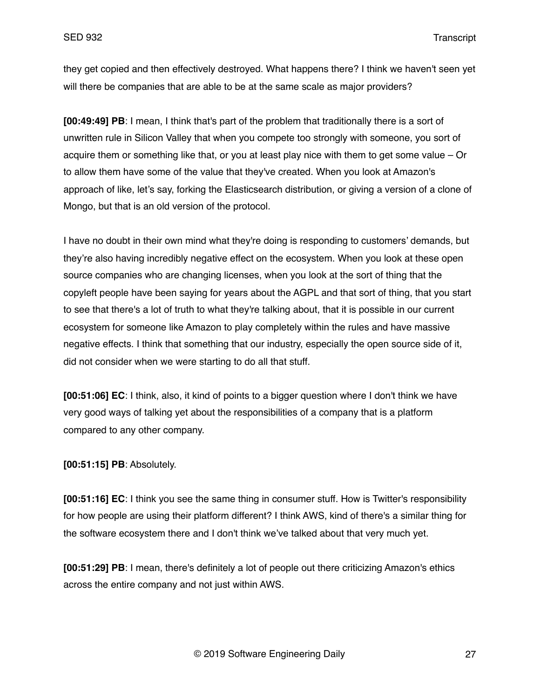they get copied and then effectively destroyed. What happens there? I think we haven't seen yet will there be companies that are able to be at the same scale as major providers?

**[00:49:49] PB**: I mean, I think that's part of the problem that traditionally there is a sort of unwritten rule in Silicon Valley that when you compete too strongly with someone, you sort of acquire them or something like that, or you at least play nice with them to get some value – Or to allow them have some of the value that they've created. When you look at Amazon's approach of like, let's say, forking the Elasticsearch distribution, or giving a version of a clone of Mongo, but that is an old version of the protocol.

I have no doubt in their own mind what they're doing is responding to customers' demands, but they're also having incredibly negative effect on the ecosystem. When you look at these open source companies who are changing licenses, when you look at the sort of thing that the copyleft people have been saying for years about the AGPL and that sort of thing, that you start to see that there's a lot of truth to what they're talking about, that it is possible in our current ecosystem for someone like Amazon to play completely within the rules and have massive negative effects. I think that something that our industry, especially the open source side of it, did not consider when we were starting to do all that stuff.

**[00:51:06] EC**: I think, also, it kind of points to a bigger question where I don't think we have very good ways of talking yet about the responsibilities of a company that is a platform compared to any other company.

**[00:51:15] PB**: Absolutely.

**[00:51:16] EC**: I think you see the same thing in consumer stuff. How is Twitter's responsibility for how people are using their platform different? I think AWS, kind of there's a similar thing for the software ecosystem there and I don't think we've talked about that very much yet.

**[00:51:29] PB**: I mean, there's definitely a lot of people out there criticizing Amazon's ethics across the entire company and not just within AWS.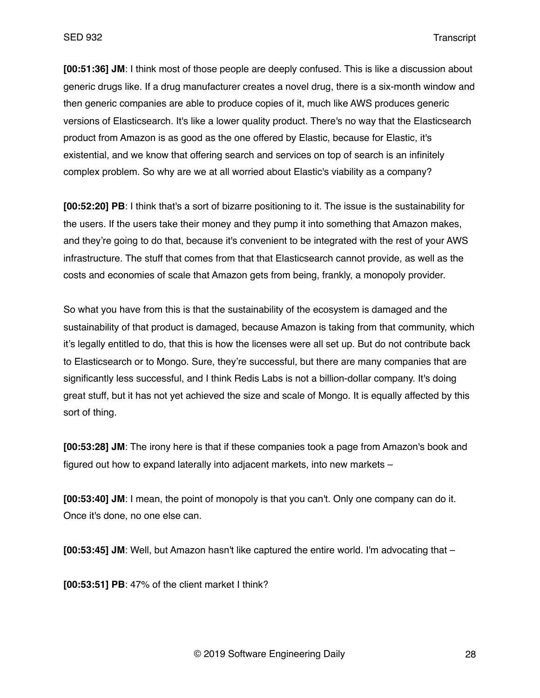**[00:51:36] JM**: I think most of those people are deeply confused. This is like a discussion about generic drugs like. If a drug manufacturer creates a novel drug, there is a six-month window and then generic companies are able to produce copies of it, much like AWS produces generic versions of Elasticsearch. It's like a lower quality product. There's no way that the Elasticsearch product from Amazon is as good as the one offered by Elastic, because for Elastic, it's existential, and we know that offering search and services on top of search is an infinitely complex problem. So why are we at all worried about Elastic's viability as a company?

**[00:52:20] PB**: I think that's a sort of bizarre positioning to it. The issue is the sustainability for the users. If the users take their money and they pump it into something that Amazon makes, and they're going to do that, because it's convenient to be integrated with the rest of your AWS infrastructure. The stuff that comes from that that Elasticsearch cannot provide, as well as the costs and economies of scale that Amazon gets from being, frankly, a monopoly provider.

So what you have from this is that the sustainability of the ecosystem is damaged and the sustainability of that product is damaged, because Amazon is taking from that community, which it's legally entitled to do, that this is how the licenses were all set up. But do not contribute back to Elasticsearch or to Mongo. Sure, they're successful, but there are many companies that are significantly less successful, and I think Redis Labs is not a billion-dollar company. It's doing great stuff, but it has not yet achieved the size and scale of Mongo. It is equally affected by this sort of thing.

**[00:53:28] JM**: The irony here is that if these companies took a page from Amazon's book and figured out how to expand laterally into adjacent markets, into new markets –

**[00:53:40] JM**: I mean, the point of monopoly is that you can't. Only one company can do it. Once it's done, no one else can.

**[00:53:45] JM**: Well, but Amazon hasn't like captured the entire world. I'm advocating that –

**[00:53:51] PB**: 47% of the client market I think?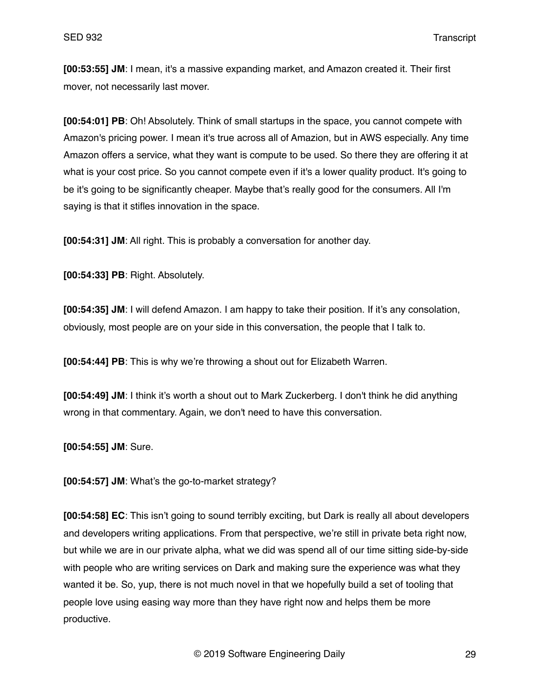**[00:53:55] JM**: I mean, it's a massive expanding market, and Amazon created it. Their first mover, not necessarily last mover.

**[00:54:01] PB**: Oh! Absolutely. Think of small startups in the space, you cannot compete with Amazon's pricing power. I mean it's true across all of Amazion, but in AWS especially. Any time Amazon offers a service, what they want is compute to be used. So there they are offering it at what is your cost price. So you cannot compete even if it's a lower quality product. It's going to be it's going to be significantly cheaper. Maybe that's really good for the consumers. All I'm saying is that it stifles innovation in the space.

**[00:54:31] JM**: All right. This is probably a conversation for another day.

**[00:54:33] PB**: Right. Absolutely.

**[00:54:35] JM**: I will defend Amazon. I am happy to take their position. If it's any consolation, obviously, most people are on your side in this conversation, the people that I talk to.

**[00:54:44] PB**: This is why we're throwing a shout out for Elizabeth Warren.

**[00:54:49] JM**: I think it's worth a shout out to Mark Zuckerberg. I don't think he did anything wrong in that commentary. Again, we don't need to have this conversation.

**[00:54:55] JM**: Sure.

**[00:54:57] JM**: What's the go-to-market strategy?

**[00:54:58] EC**: This isn't going to sound terribly exciting, but Dark is really all about developers and developers writing applications. From that perspective, we're still in private beta right now, but while we are in our private alpha, what we did was spend all of our time sitting side-by-side with people who are writing services on Dark and making sure the experience was what they wanted it be. So, yup, there is not much novel in that we hopefully build a set of tooling that people love using easing way more than they have right now and helps them be more productive.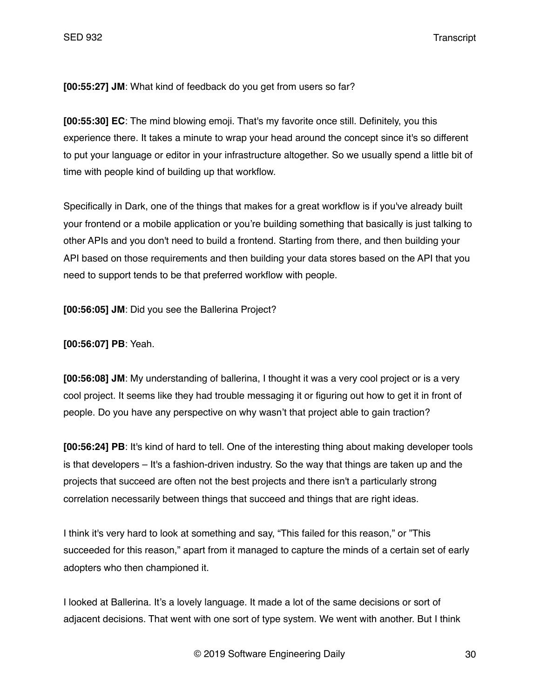**[00:55:27] JM**: What kind of feedback do you get from users so far?

**[00:55:30] EC**: The mind blowing emoji. That's my favorite once still. Definitely, you this experience there. It takes a minute to wrap your head around the concept since it's so different to put your language or editor in your infrastructure altogether. So we usually spend a little bit of time with people kind of building up that workflow.

Specifically in Dark, one of the things that makes for a great workflow is if you've already built your frontend or a mobile application or you're building something that basically is just talking to other APIs and you don't need to build a frontend. Starting from there, and then building your API based on those requirements and then building your data stores based on the API that you need to support tends to be that preferred workflow with people.

**[00:56:05] JM**: Did you see the Ballerina Project?

**[00:56:07] PB**: Yeah.

**[00:56:08] JM**: My understanding of ballerina, I thought it was a very cool project or is a very cool project. It seems like they had trouble messaging it or figuring out how to get it in front of people. Do you have any perspective on why wasn't that project able to gain traction?

**[00:56:24] PB**: It's kind of hard to tell. One of the interesting thing about making developer tools is that developers – It's a fashion-driven industry. So the way that things are taken up and the projects that succeed are often not the best projects and there isn't a particularly strong correlation necessarily between things that succeed and things that are right ideas.

I think it's very hard to look at something and say, "This failed for this reason," or "This succeeded for this reason," apart from it managed to capture the minds of a certain set of early adopters who then championed it.

I looked at Ballerina. It's a lovely language. It made a lot of the same decisions or sort of adjacent decisions. That went with one sort of type system. We went with another. But I think

© 2019 Software Engineering Daily 30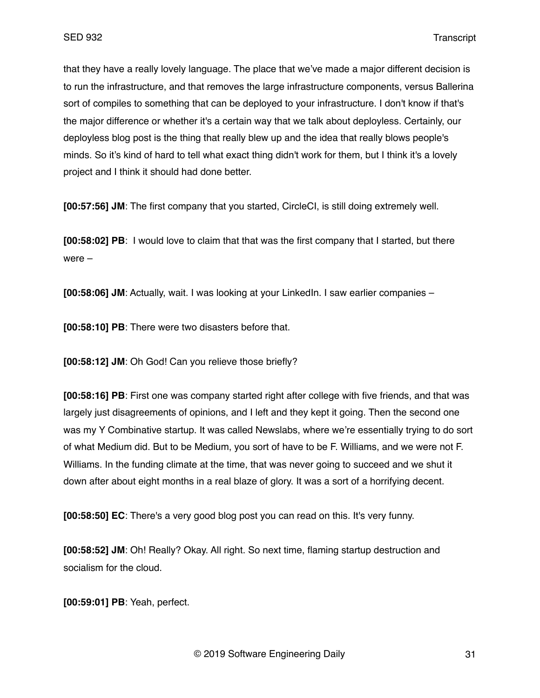that they have a really lovely language. The place that we've made a major different decision is to run the infrastructure, and that removes the large infrastructure components, versus Ballerina sort of compiles to something that can be deployed to your infrastructure. I don't know if that's the major difference or whether it's a certain way that we talk about deployless. Certainly, our deployless blog post is the thing that really blew up and the idea that really blows people's minds. So it's kind of hard to tell what exact thing didn't work for them, but I think it's a lovely project and I think it should had done better.

**[00:57:56] JM**: The first company that you started, CircleCI, is still doing extremely well.

**[00:58:02] PB**: I would love to claim that that was the first company that I started, but there were –

**[00:58:06] JM**: Actually, wait. I was looking at your LinkedIn. I saw earlier companies –

**[00:58:10] PB**: There were two disasters before that.

**[00:58:12] JM**: Oh God! Can you relieve those briefly?

**[00:58:16] PB**: First one was company started right after college with five friends, and that was largely just disagreements of opinions, and I left and they kept it going. Then the second one was my Y Combinative startup. It was called Newslabs, where we're essentially trying to do sort of what Medium did. But to be Medium, you sort of have to be F. Williams, and we were not F. Williams. In the funding climate at the time, that was never going to succeed and we shut it down after about eight months in a real blaze of glory. It was a sort of a horrifying decent.

**[00:58:50] EC**: There's a very good blog post you can read on this. It's very funny.

**[00:58:52] JM**: Oh! Really? Okay. All right. So next time, flaming startup destruction and socialism for the cloud.

**[00:59:01] PB**: Yeah, perfect.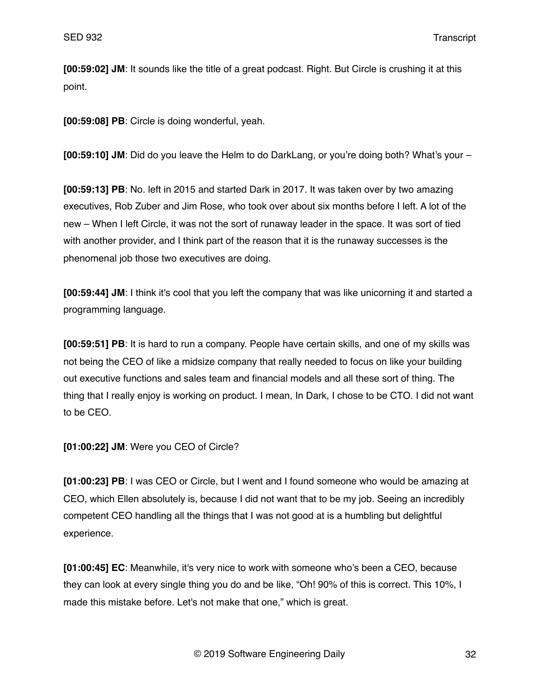**[00:59:02] JM**: It sounds like the title of a great podcast. Right. But Circle is crushing it at this point.

**[00:59:08] PB**: Circle is doing wonderful, yeah.

**[00:59:10] JM**: Did do you leave the Helm to do DarkLang, or you're doing both? What's your –

**[00:59:13] PB**: No. left in 2015 and started Dark in 2017. It was taken over by two amazing executives, Rob Zuber and Jim Rose, who took over about six months before I left. A lot of the new – When I left Circle, it was not the sort of runaway leader in the space. It was sort of tied with another provider, and I think part of the reason that it is the runaway successes is the phenomenal job those two executives are doing.

**[00:59:44] JM**: I think it's cool that you left the company that was like unicorning it and started a programming language.

**[00:59:51] PB**: It is hard to run a company. People have certain skills, and one of my skills was not being the CEO of like a midsize company that really needed to focus on like your building out executive functions and sales team and financial models and all these sort of thing. The thing that I really enjoy is working on product. I mean, In Dark, I chose to be CTO. I did not want to be CEO.

**[01:00:22] JM**: Were you CEO of Circle?

**[01:00:23] PB**: I was CEO or Circle, but I went and I found someone who would be amazing at CEO, which Ellen absolutely is, because I did not want that to be my job. Seeing an incredibly competent CEO handling all the things that I was not good at is a humbling but delightful experience.

**[01:00:45] EC**: Meanwhile, it's very nice to work with someone who's been a CEO, because they can look at every single thing you do and be like, "Oh! 90% of this is correct. This 10%, I made this mistake before. Let's not make that one," which is great.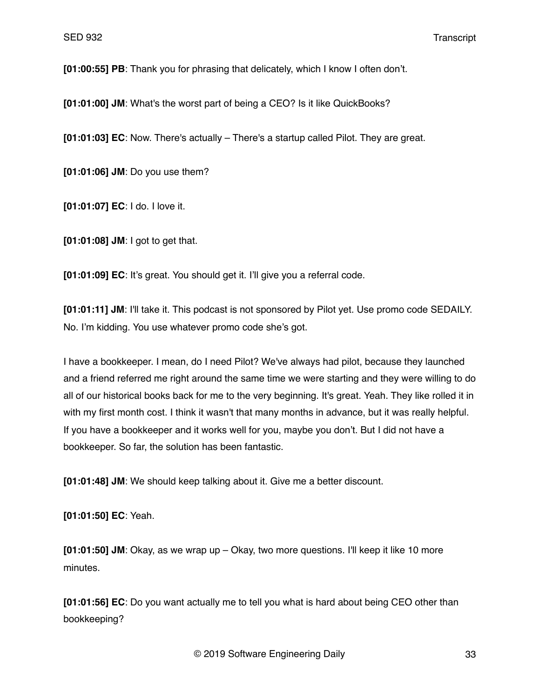**[01:00:55] PB**: Thank you for phrasing that delicately, which I know I often don't.

**[01:01:00] JM**: What's the worst part of being a CEO? Is it like QuickBooks?

**[01:01:03] EC**: Now. There's actually – There's a startup called Pilot. They are great.

**[01:01:06] JM**: Do you use them?

**[01:01:07] EC**: I do. I love it.

**[01:01:08] JM**: I got to get that.

**[01:01:09] EC**: It's great. You should get it. I'll give you a referral code.

**[01:01:11] JM**: I'll take it. This podcast is not sponsored by Pilot yet. Use promo code SEDAILY. No. I'm kidding. You use whatever promo code she's got.

I have a bookkeeper. I mean, do I need Pilot? We've always had pilot, because they launched and a friend referred me right around the same time we were starting and they were willing to do all of our historical books back for me to the very beginning. It's great. Yeah. They like rolled it in with my first month cost. I think it wasn't that many months in advance, but it was really helpful. If you have a bookkeeper and it works well for you, maybe you don't. But I did not have a bookkeeper. So far, the solution has been fantastic.

**[01:01:48] JM**: We should keep talking about it. Give me a better discount.

**[01:01:50] EC**: Yeah.

**[01:01:50] JM**: Okay, as we wrap up – Okay, two more questions. I'll keep it like 10 more minutes.

**[01:01:56] EC**: Do you want actually me to tell you what is hard about being CEO other than bookkeeping?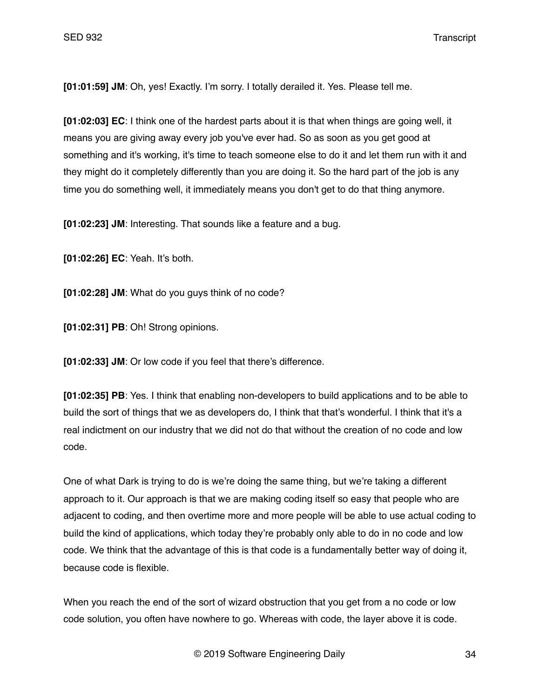**[01:01:59] JM**: Oh, yes! Exactly. I'm sorry. I totally derailed it. Yes. Please tell me.

**[01:02:03] EC**: I think one of the hardest parts about it is that when things are going well, it means you are giving away every job you've ever had. So as soon as you get good at something and it's working, it's time to teach someone else to do it and let them run with it and they might do it completely differently than you are doing it. So the hard part of the job is any time you do something well, it immediately means you don't get to do that thing anymore.

**[01:02:23] JM**: Interesting. That sounds like a feature and a bug.

**[01:02:26] EC**: Yeah. It's both.

**[01:02:28] JM**: What do you guys think of no code?

**[01:02:31] PB**: Oh! Strong opinions.

**[01:02:33] JM**: Or low code if you feel that there's difference.

**[01:02:35] PB**: Yes. I think that enabling non-developers to build applications and to be able to build the sort of things that we as developers do, I think that that's wonderful. I think that it's a real indictment on our industry that we did not do that without the creation of no code and low code.

One of what Dark is trying to do is we're doing the same thing, but we're taking a different approach to it. Our approach is that we are making coding itself so easy that people who are adjacent to coding, and then overtime more and more people will be able to use actual coding to build the kind of applications, which today they're probably only able to do in no code and low code. We think that the advantage of this is that code is a fundamentally better way of doing it, because code is flexible.

When you reach the end of the sort of wizard obstruction that you get from a no code or low code solution, you often have nowhere to go. Whereas with code, the layer above it is code.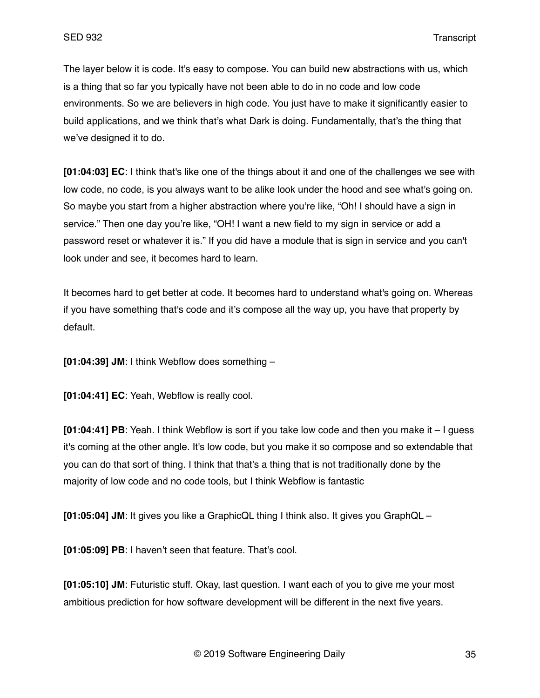The layer below it is code. It's easy to compose. You can build new abstractions with us, which is a thing that so far you typically have not been able to do in no code and low code environments. So we are believers in high code. You just have to make it significantly easier to build applications, and we think that's what Dark is doing. Fundamentally, that's the thing that we've designed it to do.

**[01:04:03] EC**: I think that's like one of the things about it and one of the challenges we see with low code, no code, is you always want to be alike look under the hood and see what's going on. So maybe you start from a higher abstraction where you're like, "Oh! I should have a sign in service." Then one day you're like, "OH! I want a new field to my sign in service or add a password reset or whatever it is." If you did have a module that is sign in service and you can't look under and see, it becomes hard to learn.

It becomes hard to get better at code. It becomes hard to understand what's going on. Whereas if you have something that's code and it's compose all the way up, you have that property by default.

**[01:04:39] JM**: I think Webflow does something –

**[01:04:41] EC**: Yeah, Webflow is really cool.

**[01:04:41] PB**: Yeah. I think Webflow is sort if you take low code and then you make it – I guess it's coming at the other angle. It's low code, but you make it so compose and so extendable that you can do that sort of thing. I think that that's a thing that is not traditionally done by the majority of low code and no code tools, but I think Webflow is fantastic

**[01:05:04] JM**: It gives you like a GraphicQL thing I think also. It gives you GraphQL –

**[01:05:09] PB**: I haven't seen that feature. That's cool.

**[01:05:10] JM**: Futuristic stuff. Okay, last question. I want each of you to give me your most ambitious prediction for how software development will be different in the next five years.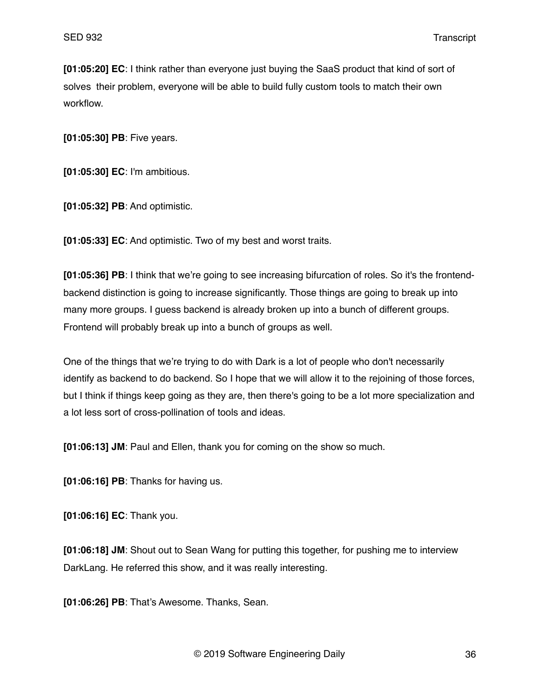**[01:05:20] EC**: I think rather than everyone just buying the SaaS product that kind of sort of solves their problem, everyone will be able to build fully custom tools to match their own workflow.

**[01:05:30] PB**: Five years.

**[01:05:30] EC**: I'm ambitious.

**[01:05:32] PB**: And optimistic.

**[01:05:33] EC**: And optimistic. Two of my best and worst traits.

**[01:05:36] PB**: I think that we're going to see increasing bifurcation of roles. So it's the frontendbackend distinction is going to increase significantly. Those things are going to break up into many more groups. I guess backend is already broken up into a bunch of different groups. Frontend will probably break up into a bunch of groups as well.

One of the things that we're trying to do with Dark is a lot of people who don't necessarily identify as backend to do backend. So I hope that we will allow it to the rejoining of those forces, but I think if things keep going as they are, then there's going to be a lot more specialization and a lot less sort of cross-pollination of tools and ideas.

**[01:06:13] JM**: Paul and Ellen, thank you for coming on the show so much.

**[01:06:16] PB**: Thanks for having us.

**[01:06:16] EC**: Thank you.

**[01:06:18] JM**: Shout out to Sean Wang for putting this together, for pushing me to interview DarkLang. He referred this show, and it was really interesting.

**[01:06:26] PB**: That's Awesome. Thanks, Sean.